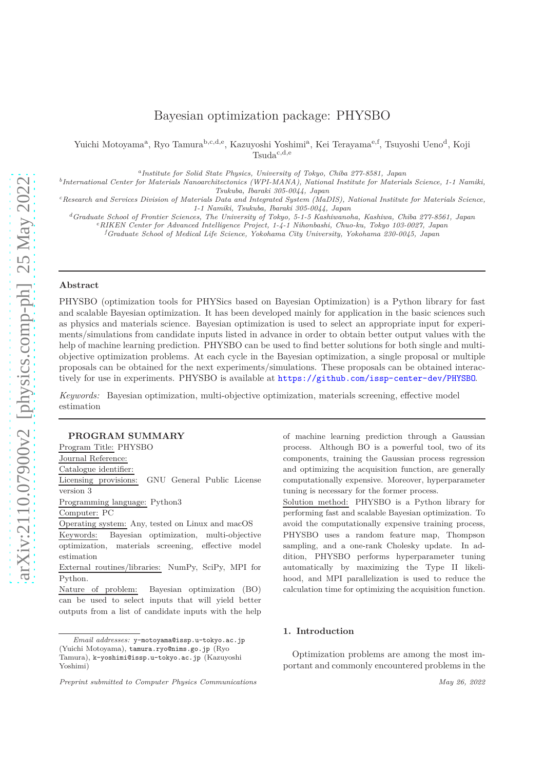# Bayesian optimization package: PHYSBO

Yuichi Motoyama<sup>a</sup>, Ryo Tamura<sup>b,c,d,e</sup>, Kazuyoshi Yoshimi<sup>a</sup>, Kei Terayama<sup>e,f</sup>, Tsuyoshi Ueno<sup>d</sup>, Koji  $Tsuda^{c,d,e}$ 

*a Institute for Solid State Physics, University of Tokyo, Chiba 277-8581, Japan*

*b International Center for Materials Nanoarchitectonics (WPI-MANA), National Institute for Materials Science, 1-1 Namiki, Tsukuba, Ibaraki 305-0044, Japan*

*<sup>c</sup>Research and Services Division of Materials Data and Integrated System (MaDIS), National Institute for Materials Science, 1-1 Namiki, Tsukuba, Ibaraki 305-0044, Japan*

*<sup>d</sup>Graduate School of Frontier Sciences, The University of Tokyo, 5-1-5 Kashiwanoha, Kashiwa, Chiba 277-8561, Japan*

*<sup>e</sup>RIKEN Center for Advanced Intelligence Project, 1-4-1 Nihonbashi, Chuo-ku, Tokyo 103-0027, Japan*

*<sup>f</sup>Graduate School of Medical Life Science, Yokohama City University, Yokohama 230-0045, Japan*

## **Abstract**

PHYSBO (optimization tools for PHYSics based on Bayesian Optimization) is a Python library for fast and scalable Bayesian optimization. It has been developed mainly for application in the basic sciences such as physics and materials science. Bayesian optimization is used to select an appropriate input for experiments/simulations from candidate inputs listed in advance in order to obtain better output values with the help of machine learning prediction. PHYSBO can be used to find better solutions for both single and multiobjective optimization problems. At each cycle in the Bayesian optimization, a single proposal or multiple proposals can be obtained for the next experiments/simulations. These proposals can be obtained interactively for use in experiments. PHYSBO is available at <https://github.com/issp-center-dev/PHYSBO>.

*Keywords:* Bayesian optimization, multi-objective optimization, materials screening, effective model estimation

#### **PROGRAM SUMMARY**

Program Title: PHYSBO Journal Reference: Catalogue identifier: Licensing provisions: GNU General Public License version 3 Programming language: Python3 Computer: PC Operating system: Any, tested on Linux and macOS Keywords: Bayesian optimization, multi-objective

optimization, materials screening, effective model estimation

External routines/libraries: NumPy, SciPy, MPI for Python.

Nature of problem: Bayesian optimization (BO) can be used to select inputs that will yield better outputs from a list of candidate inputs with the help of machine learning prediction through a Gaussian process. Although BO is a powerful tool, two of its components, training the Gaussian process regression and optimizing the acquisition function, are generally computationally expensive. Moreover, hyperparameter tuning is necessary for the former process.

Solution method: PHYSBO is a Python library for performing fast and scalable Bayesian optimization. To avoid the computationally expensive training process, PHYSBO uses a random feature map, Thompson sampling, and a one-rank Cholesky update. In addition, PHYSBO performs hyperparameter tuning automatically by maximizing the Type II likelihood, and MPI parallelization is used to reduce the calculation time for optimizing the acquisition function.

#### **1. Introduction**

Optimization problems are among the most important and commonly encountered problems in the

*Email addresses:* y-motoyama@issp.u-tokyo.ac.jp (Yuichi Motoyama), tamura.ryo@nims.go.jp (Ryo Tamura), k-yoshimi@issp.u-tokyo.ac.jp (Kazuyoshi Yoshimi)

*Preprint submitted to Computer Physics Communications May 26, 2022*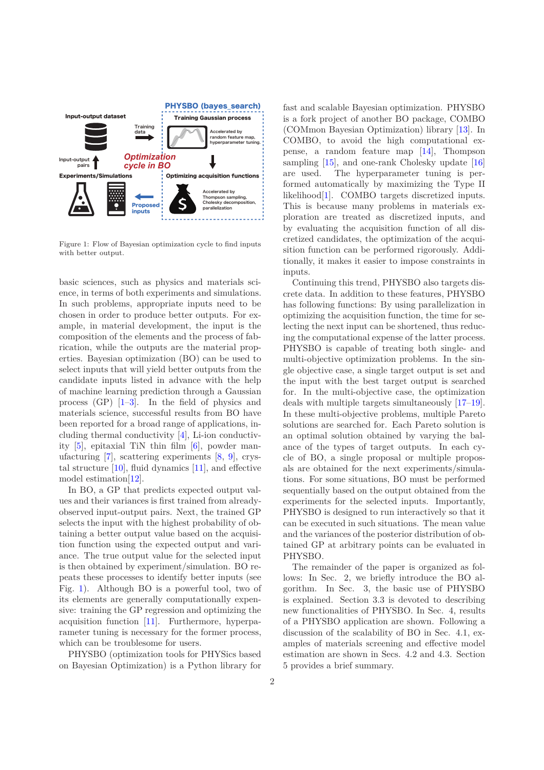

<span id="page-1-0"></span>Figure 1: Flow of Bayesian optimization cycle to find inputs with better output.

basic sciences, such as physics and materials science, in terms of both experiments and simulations. In such problems, appropriate inputs need to be chosen in order to produce better outputs. For example, in material development, the input is the composition of the elements and the process of fabrication, while the outputs are the material properties. Bayesian optimization (BO) can be used to select inputs that will yield better outputs from the candidate inputs listed in advance with the help of machine learning prediction through a Gaussian process (GP) [\[1](#page-9-0)[–3\]](#page-9-1). In the field of physics and materials science, successful results from BO have been reported for a broad range of applications, including thermal conductivity [\[4\]](#page-9-2), Li-ion conductivity [\[5\]](#page-10-0), epitaxial TiN thin film [\[6](#page-10-1)], powder manufacturing [\[7](#page-10-2)], scattering experiments [\[8,](#page-10-3) [9\]](#page-10-4), crystal structure [\[10\]](#page-10-5), fluid dynamics [\[11\]](#page-10-6), and effective model estimation[\[12](#page-10-7)].

In BO, a GP that predicts expected output values and their variances is first trained from alreadyobserved input-output pairs. Next, the trained GP selects the input with the highest probability of obtaining a better output value based on the acquisition function using the expected output and variance. The true output value for the selected input is then obtained by experiment/simulation. BO repeats these processes to identify better inputs (see Fig. [1\)](#page-1-0). Although BO is a powerful tool, two of its elements are generally computationally expensive: training the GP regression and optimizing the acquisition function [\[11\]](#page-10-6). Furthermore, hyperparameter tuning is necessary for the former process, which can be troublesome for users.

PHYSBO (optimization tools for PHYSics based on Bayesian Optimization) is a Python library for fast and scalable Bayesian optimization. PHYSBO is a fork project of another BO package, COMBO (COMmon Bayesian Optimization) library [\[13\]](#page-10-8). In COMBO, to avoid the high computational expense, a random feature map [\[14\]](#page-10-9), Thompson sampling [\[15](#page-10-10)], and one-rank Cholesky update [\[16](#page-10-11)] are used. The hyperparameter tuning is performed automatically by maximizing the Type II likelihood[\[1\]](#page-9-0). COMBO targets discretized inputs. This is because many problems in materials exploration are treated as discretized inputs, and by evaluating the acquisition function of all discretized candidates, the optimization of the acquisition function can be performed rigorously. Additionally, it makes it easier to impose constraints in inputs.

Continuing this trend, PHYSBO also targets discrete data. In addition to these features, PHYSBO has following functions: By using parallelization in optimizing the acquisition function, the time for selecting the next input can be shortened, thus reducing the computational expense of the latter process. PHYSBO is capable of treating both single- and multi-objective optimization problems. In the single objective case, a single target output is set and the input with the best target output is searched for. In the multi-objective case, the optimization deals with multiple targets simultaneously [\[17](#page-10-12)[–19](#page-10-13)]. In these multi-objective problems, multiple Pareto solutions are searched for. Each Pareto solution is an optimal solution obtained by varying the balance of the types of target outputs. In each cycle of BO, a single proposal or multiple proposals are obtained for the next experiments/simulations. For some situations, BO must be performed sequentially based on the output obtained from the experiments for the selected inputs. Importantly, PHYSBO is designed to run interactively so that it can be executed in such situations. The mean value and the variances of the posterior distribution of obtained GP at arbitrary points can be evaluated in PHYSBO.

The remainder of the paper is organized as follows: In Sec. 2, we briefly introduce the BO algorithm. In Sec. 3, the basic use of PHYSBO is explained. Section 3.3 is devoted to describing new functionalities of PHYSBO. In Sec. 4, results of a PHYSBO application are shown. Following a discussion of the scalability of BO in Sec. 4.1, examples of materials screening and effective model estimation are shown in Secs. 4.2 and 4.3. Section 5 provides a brief summary.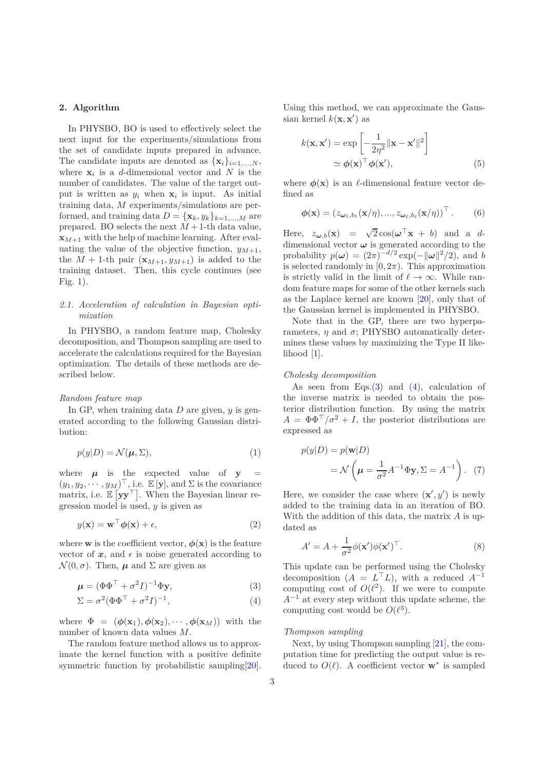## **2. Algorithm**

In PHYSBO, BO is used to effectively select the next input for the experiments/simulations from the set of candidate inputs prepared in advance. The candidate inputs are denoted as  $\{x_i\}_{i=1,\ldots,N}$ , where  $\mathbf{x}_i$  is a *d*-dimensional vector and *N* is the number of candidates. The value of the target output is written as  $y_i$  when  $x_i$  is input. As initial training data, *M* experiments/simulations are performed, and training data  $D = {\mathbf{x}_k, y_k}_{k=1,...,M}$  are prepared. BO selects the next  $M + 1$ -th data value,  $\mathbf{x}_{M+1}$  with the help of machine learning. After evaluating the value of the objective function,  $y_{M+1}$ , the  $M + 1$ -th pair  $(\mathbf{x}_{M+1}, y_{M+1})$  is added to the training dataset. Then, this cycle continues (see Fig. [1\)](#page-1-0).

## *2.1. Acceleration of calculation in Bayesian optimization*

In PHYSBO, a random feature map, Cholesky decomposition, and Thompson sampling are used to accelerate the calculations required for the Bayesian optimization. The details of these methods are described below.

### *Random feature map*

In GP, when training data *D* are given, *y* is generated according to the following Gaussian distribution:

$$
p(y|D) = \mathcal{N}(\mu, \Sigma),\tag{1}
$$

where  $\mu$  is the expected value of  $y =$  $(y_1, y_2, \dots, y_M)^\top$ , i.e.  $\mathbb{E}[\mathbf{y}]$ , and  $\Sigma$  is the covariance matrix, i.e.  $\mathbb{E} \left[ \mathbf{y} \mathbf{y}^{\top} \right]$ . When the Bayesian linear regression model is used, *y* is given as

$$
y(\mathbf{x}) = \mathbf{w}^\top \boldsymbol{\phi}(\mathbf{x}) + \epsilon,\tag{2}
$$

where **w** is the coefficient vector,  $\phi(\mathbf{x})$  is the feature vector of  $x$ , and  $\epsilon$  is noise generated according to  $\mathcal{N}(0, \sigma)$ . Then,  $\mu$  and  $\Sigma$  are given as

$$
\boldsymbol{\mu} = (\boldsymbol{\Phi}\boldsymbol{\Phi}^{\top} + \sigma^2 I)^{-1} \boldsymbol{\Phi} \mathbf{y},\tag{3}
$$

$$
\Sigma = \sigma^2 (\Phi \Phi^\top + \sigma^2 I)^{-1},\tag{4}
$$

where  $\Phi = (\phi(\mathbf{x}_1), \phi(\mathbf{x}_2), \cdots, \phi(\mathbf{x}_M))$  with the number of known data values *M*.

The random feature method allows us to approximate the kernel function with a positive definite symmetric function by probabilistic sampling [\[20](#page-10-14)]. Using this method, we can approximate the Gaussian kernel  $k(\mathbf{x}, \mathbf{x}')$  as

$$
k(\mathbf{x}, \mathbf{x}') = \exp\left[-\frac{1}{2\eta^2} ||\mathbf{x} - \mathbf{x}'||^2\right]
$$

$$
\simeq \phi(\mathbf{x})^\top \phi(\mathbf{x}'), \tag{5}
$$

where  $\phi(\mathbf{x})$  is an  $\ell$ -dimensional feature vector defined as

$$
\boldsymbol{\phi}(\mathbf{x}) = (z_{\boldsymbol{\omega}_1, b_1}(\mathbf{x}/\eta), ..., z_{\boldsymbol{\omega}_\ell, b_\ell}(\mathbf{x}/\eta))^\top. \qquad (6)
$$

Here,  $z_{\boldsymbol{\omega},b}(\mathbf{x}) = \sqrt{2} \cos(\boldsymbol{\omega}^\top \mathbf{x} + b)$  and a *d*dimensional vector  $\pmb{\omega}$  is generated according to the probability  $p(\omega) = (2\pi)^{-d/2} \exp(-\|\omega\|^2/2)$ , and *b* is selected randomly in  $[0, 2\pi)$ . This approximation is strictly valid in the limit of  $\ell \to \infty$ . While random feature maps for some of the other kernels such as the Laplace kernel are known [\[20\]](#page-10-14), only that of the Gaussian kernel is implemented in PHYSBO.

Note that in the GP, there are two hyperparameters,  $\eta$  and  $\sigma$ ; PHYSBO automatically determines these values by maximizing the Type II likelihood [\[1\]](#page-9-0).

### *Cholesky decomposition*

As seen from Eqs. $(3)$  and  $(4)$ , calculation of the inverse matrix is needed to obtain the posterior distribution function. By using the matrix  $A = \Phi \Phi^{\top}/\sigma^2 + I$ , the posterior distributions are expressed as

<span id="page-2-2"></span>
$$
p(y|D) = p(\mathbf{w}|D)
$$
  
=  $\mathcal{N}\left(\boldsymbol{\mu} = \frac{1}{\sigma^2} A^{-1} \Phi \mathbf{y}, \Sigma = A^{-1}\right).$  (7)

Here, we consider the case where  $(\mathbf{x}', y')$  is newly added to the training data in an iteration of BO. With the addition of this data, the matrix *A* is updated as

$$
A' = A + \frac{1}{\sigma^2} \phi(\mathbf{x}') \phi(\mathbf{x}')^\top.
$$
 (8)

<span id="page-2-1"></span><span id="page-2-0"></span>This update can be performed using the Cholesky decomposition  $(A = L^{\top}L)$ , with a reduced  $A^{-1}$ computing cost of  $O(\ell^2)$ . If we were to compute *A*<sup>−1</sup> at every step without this update scheme, the computing cost would be  $O(\ell^3)$ .

#### *Thompson sampling*

Next, by using Thompson sampling [\[21\]](#page-10-15), the computation time for predicting the output value is reduced to  $O(\ell)$ . A coefficient vector  $\mathbf{w}^*$  is sampled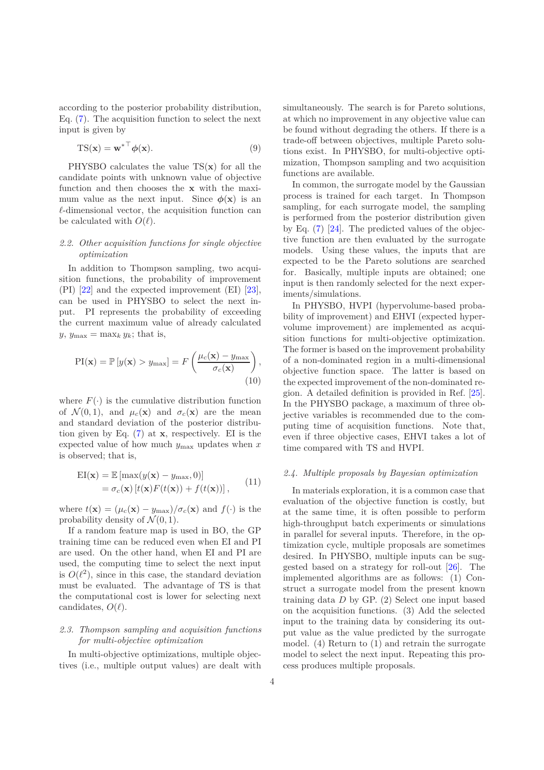according to the posterior probability distribution, Eq. [\(7\)](#page-2-2). The acquisition function to select the next input is given by

$$
TS(\mathbf{x}) = \mathbf{w}^{*T} \boldsymbol{\phi}(\mathbf{x}).
$$
\n(9)

PHYSBO calculates the value TS(**x**) for all the candidate points with unknown value of objective function and then chooses the **x** with the maximum value as the next input. Since  $\phi(\mathbf{x})$  is an *ℓ*-dimensional vector, the acquisition function can be calculated with  $O(\ell)$ .

## *2.2. Other acquisition functions for single objective optimization*

In addition to Thompson sampling, two acquisition functions, the probability of improvement (PI) [\[22](#page-10-16)] and the expected improvement (EI) [\[23](#page-10-17)], can be used in PHYSBO to select the next input. PI represents the probability of exceeding the current maximum value of already calculated  $y, y_{\text{max}} = \max_k y_k$ ; that is,

$$
PI(\mathbf{x}) = \mathbb{P}\left[y(\mathbf{x}) > y_{\text{max}}\right] = F\left(\frac{\mu_c(\mathbf{x}) - y_{\text{max}}}{\sigma_c(\mathbf{x})}\right),\tag{10}
$$

where  $F(\cdot)$  is the cumulative distribution function of  $\mathcal{N}(0,1)$ , and  $\mu_c(\mathbf{x})$  and  $\sigma_c(\mathbf{x})$  are the mean and standard deviation of the posterior distribution given by Eq. [\(7\)](#page-2-2) at **x**, respectively. EI is the expected value of how much *y*max updates when *x* is observed; that is,

$$
\begin{aligned} \text{EI}(\mathbf{x}) &= \mathbb{E}\left[\max(y(\mathbf{x}) - y_{\text{max}}, 0)\right] \\ &= \sigma_c(\mathbf{x})\left[t(\mathbf{x})F(t(\mathbf{x})) + f(t(\mathbf{x}))\right], \end{aligned} \tag{11}
$$

where  $t(\mathbf{x}) = (\mu_c(\mathbf{x}) - y_{\text{max}})/\sigma_c(\mathbf{x})$  and  $f(\cdot)$  is the probability density of  $\mathcal{N}(0,1)$ .

If a random feature map is used in BO, the GP training time can be reduced even when EI and PI are used. On the other hand, when EI and PI are used, the computing time to select the next input is  $O(\ell^2)$ , since in this case, the standard deviation must be evaluated. The advantage of TS is that the computational cost is lower for selecting next candidates, *O*(*ℓ*).

## *2.3. Thompson sampling and acquisition functions for multi-objective optimization*

In multi-objective optimizations, multiple objectives (i.e., multiple output values) are dealt with simultaneously. The search is for Pareto solutions, at which no improvement in any objective value can be found without degrading the others. If there is a trade-off between objectives, multiple Pareto solutions exist. In PHYSBO, for multi-objective optimization, Thompson sampling and two acquisition functions are available.

In common, the surrogate model by the Gaussian process is trained for each target. In Thompson sampling, for each surrogate model, the sampling is performed from the posterior distribution given by Eq. [\(7\)](#page-2-2) [\[24\]](#page-10-18). The predicted values of the objective function are then evaluated by the surrogate models. Using these values, the inputs that are expected to be the Pareto solutions are searched for. Basically, multiple inputs are obtained; one input is then randomly selected for the next experiments/simulations.

In PHYSBO, HVPI (hypervolume-based probability of improvement) and EHVI (expected hypervolume improvement) are implemented as acquisition functions for multi-objective optimization. The former is based on the improvement probability of a non-dominated region in a multi-dimensional objective function space. The latter is based on the expected improvement of the non-dominated region. A detailed definition is provided in Ref. [\[25](#page-10-19)]. In the PHYSBO package, a maximum of three objective variables is recommended due to the computing time of acquisition functions. Note that, even if three objective cases, EHVI takes a lot of time compared with TS and HVPI.

#### <span id="page-3-0"></span>*2.4. Multiple proposals by Bayesian optimization*

In materials exploration, it is a common case that evaluation of the objective function is costly, but at the same time, it is often possible to perform high-throughput batch experiments or simulations in parallel for several inputs. Therefore, in the optimization cycle, multiple proposals are sometimes desired. In PHYSBO, multiple inputs can be suggested based on a strategy for roll-out [\[26](#page-10-20)]. The implemented algorithms are as follows: (1) Construct a surrogate model from the present known training data *D* by GP. (2) Select one input based on the acquisition functions. (3) Add the selected input to the training data by considering its output value as the value predicted by the surrogate model. (4) Return to (1) and retrain the surrogate model to select the next input. Repeating this process produces multiple proposals.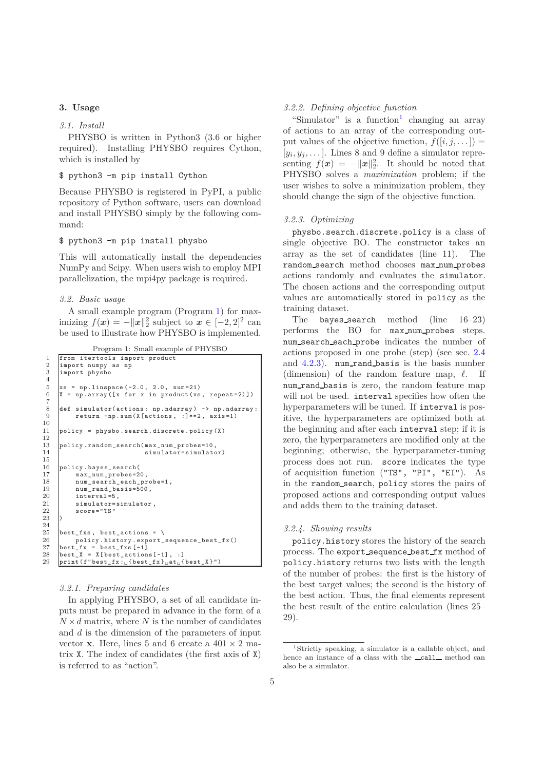## **3. Usage**

## *3.1. Install*

PHYSBO is written in Python3 (3.6 or higher required). Installing PHYSBO requires Cython, which is installed by

## \$ python3 -m pip install Cython

Because PHYSBO is registered in PyPI, a public repository of Python software, users can download and install PHYSBO simply by the following command:

## \$ python3 -m pip install physbo

This will automatically install the dependencies NumPy and Scipy. When users wish to employ MPI parallelization, the mpi4py package is required.

## *3.2. Basic usage*

A small example program (Program [1\)](#page-4-0) for maximizing  $f(x) = -||x||_2^2$  subject to  $x \in [-2, 2]^2$  can be used to illustrate how PHYSBO is implemented.

Program 1: Small example of PHYSBO

```
1 from itertools import product
 2 import numpy as np
      3 import physbo
 5 xs = np.linspace (-2.0, 2.0, num=21)<br>6 X = np.array ([x for x in product (xs
      6 X = np.array ([x for x in product (xs , repeat =2)])
 8 def simulator(actions: np.ndarray) -> np.ndarray:<br>9 return -np.sum(X[actions. : 1**2. axis=1)
           9 return -np. sum(X[actions , :]**2 , axis =1)
11 policy = physbo . search .discrete .policy (X)
      policy.random_search(max_num_probes=10,
14 simulator=simulator)
16 policy.bayes_search(<br>17 max_num_probes=2
           max_num_probes=20,
18 num_search_each_probe=1,
\begin{array}{c|c} 19 & \text{num\_rand\_basis} = 500, \\ 20 & \text{interval} = 5. \end{array}20 interval=5,<br>21 simulator=s
21 simulator=simulator,<br>22 score="TS"
           \verb|score|= "TS"\texttt{best\_fixs}, best_actions = \
26 policy . history .export_sequence_best_fx()
27 best\_fx = best\_fixs [-1]28 \text{best}_X = \text{X}[\text{best}_\text{actions}[-1], :]<br>29 \text{print}(f' \text{best}_X; \text{if best}_X; \text{list}]29 print (f"best_fx :␣{best_fx }␣at␣{best_X }")
```
## *3.2.1. Preparing candidates*

In applying PHYSBO, a set of all candidate inputs must be prepared in advance in the form of a  $N \times d$  matrix, where *N* is the number of candidates and *d* is the dimension of the parameters of input vector **x**. Here, lines 5 and 6 create a  $401 \times 2$  matrix X. The index of candidates (the first axis of X) is referred to as "action".

#### *3.2.2. Defining objective function*

"Simulator" is a function<sup>[1](#page-4-1)</sup> changing an array of actions to an array of the corresponding output values of the objective function,  $f([i, j, \dots]) =$  $[y_i, y_j, \ldots]$ . Lines 8 and 9 define a simulator representing  $f(x) = -||x||_2^2$ . It should be noted that PHYSBO solves a *maximization* problem; if the user wishes to solve a minimization problem, they should change the sign of the objective function.

#### *3.2.3. Optimizing*

physbo.search.discrete.policy is a class of single objective BO. The constructor takes an array as the set of candidates (line 11). The random search method chooses max num probes actions randomly and evaluates the simulator. The chosen actions and the corresponding output values are automatically stored in policy as the training dataset.

The bayes search method (line 16–23) performs the BO for max num probes steps. num search each probe indicates the number of actions proposed in one probe (step) (see sec. [2.4](#page-3-0) and [4.2.3\)](#page-7-0). num rand basis is the basis number (dimension) of the random feature map, *ℓ*. If num\_rand\_basis is zero, the random feature map will not be used. interval specifies how often the hyperparameters will be tuned. If interval is positive, the hyperparameters are optimized both at the beginning and after each interval step; if it is zero, the hyperparameters are modified only at the beginning; otherwise, the hyperparameter-tuning process does not run. score indicates the type of acquisition function ("TS", "PI", "EI"). As in the random search, policy stores the pairs of proposed actions and corresponding output values and adds them to the training dataset.

#### *3.2.4. Showing results*

policy.history stores the history of the search process. The export sequence best fx method of policy.history returns two lists with the length of the number of probes: the first is the history of the best target values; the second is the history of the best action. Thus, the final elements represent the best result of the entire calculation (lines 25– 29).

4

<span id="page-4-1"></span><sup>1</sup>Strictly speaking, a simulator is a callable object, and hence an instance of a class with the **call** method can also be a simulator.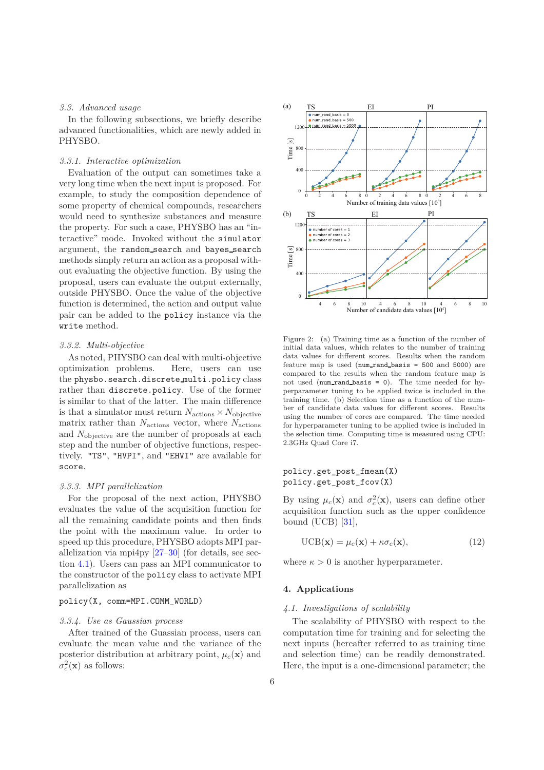#### *3.3. Advanced usage*

In the following subsections, we briefly describe advanced functionalities, which are newly added in PHYSBO.

#### *3.3.1. Interactive optimization*

Evaluation of the output can sometimes take a very long time when the next input is proposed. For example, to study the composition dependence of some property of chemical compounds, researchers would need to synthesize substances and measure the property. For such a case, PHYSBO has an "interactive" mode. Invoked without the simulator argument, the random search and bayes search methods simply return an action as a proposal without evaluating the objective function. By using the proposal, users can evaluate the output externally, outside PHYSBO. Once the value of the objective function is determined, the action and output value pair can be added to the policy instance via the write method.

#### *3.3.2. Multi-objective*

As noted, PHYSBO can deal with multi-objective optimization problems. Here, users can use the physbo.search.discrete multi.policy class rather than discrete.policy. Use of the former is similar to that of the latter. The main difference is that a simulator must return  $N_{\text{actions}} \times N_{\text{objective}}$ matrix rather than *N*actions vector, where *N*actions and *N*objective are the number of proposals at each step and the number of objective functions, respectively. "TS", "HVPI", and "EHVI" are available for score.

#### *3.3.3. MPI parallelization*

For the proposal of the next action, PHYSBO evaluates the value of the acquisition function for all the remaining candidate points and then finds the point with the maximum value. In order to speed up this procedure, PHYSBO adopts MPI parallelization via mpi4py  $[27-30]$  (for details, see section [4.1\)](#page-5-0). Users can pass an MPI communicator to the constructor of the policy class to activate MPI parallelization as

#### policy(X, comm=MPI.COMM\_WORLD)

#### *3.3.4. Use as Gaussian process*

After trained of the Guassian process, users can evaluate the mean value and the variance of the posterior distribution at arbitrary point,  $\mu_c(\mathbf{x})$  and  $\sigma_c^2(\mathbf{x})$  as follows:



<span id="page-5-1"></span>Figure 2: (a) Training time as a function of the number of initial data values, which relates to the number of training data values for different scores. Results when the random feature map is used ( $num\_rand_basis = 500$  and  $5000$ ) are compared to the results when the random feature map is not used ( $num\_rand_basis = 0$ ). The time needed for hyperparameter tuning to be applied twice is included in the training time. (b) Selection time as a function of the number of candidate data values for different scores. Results using the number of cores are compared. The time needed for hyperparameter tuning to be applied twice is included in the selection time. Computing time is measured using CPU: 2.3GHz Quad Core i7.

#### policy.get\_post\_fmean(X) policy.get\_post\_fcov(X)

By using  $\mu_c(\mathbf{x})$  and  $\sigma_c^2(\mathbf{x})$ , users can define other acquisition function such as the upper confidence bound (UCB)  $[31]$ ,

$$
UCB(\mathbf{x}) = \mu_c(\mathbf{x}) + \kappa \sigma_c(\mathbf{x}), \qquad (12)
$$

where  $\kappa > 0$  is another hyperparameter.

#### <span id="page-5-0"></span>**4. Applications**

#### *4.1. Investigations of scalability*

The scalability of PHYSBO with respect to the computation time for training and for selecting the next inputs (hereafter referred to as training time and selection time) can be readily demonstrated. Here, the input is a one-dimensional parameter; the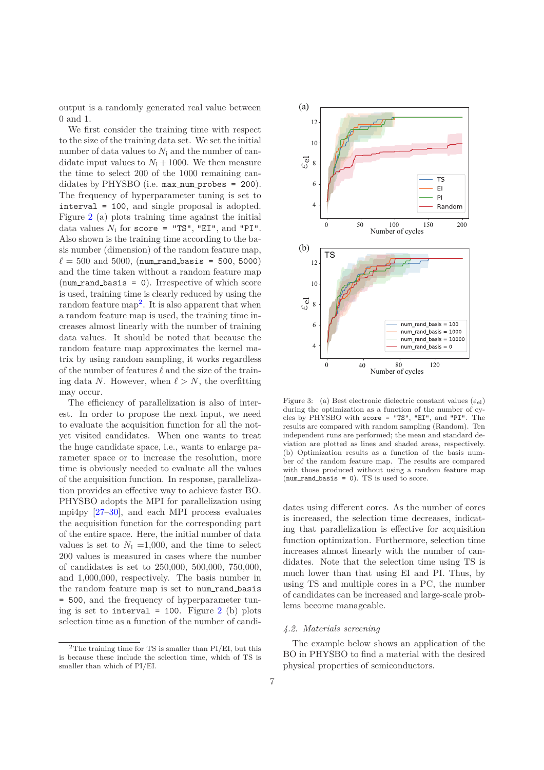output is a randomly generated real value between 0 and 1.

We first consider the training time with respect to the size of the training data set. We set the initial number of data values to *N*<sup>i</sup> and the number of candidate input values to  $N_i + 1000$ . We then measure the time to select 200 of the 1000 remaining candidates by PHYSBO (i.e. max\_num\_probes = 200). The frequency of hyperparameter tuning is set to interval = 100, and single proposal is adopted. Figure [2](#page-5-1) (a) plots training time against the initial data values  $N_i$  for score = "TS", "EI", and "PI". Also shown is the training time according to the basis number (dimension) of the random feature map,  $\ell = 500$  and 5000, (num rand basis = 500, 5000) and the time taken without a random feature map  $(num\_rand\_basis = 0)$ . Irrespective of which score is used, training time is clearly reduced by using the random feature map<sup>[2](#page-6-0)</sup>. It is also apparent that when a random feature map is used, the training time increases almost linearly with the number of training data values. It should be noted that because the random feature map approximates the kernel matrix by using random sampling, it works regardless of the number of features *ℓ* and the size of the training data *N*. However, when  $\ell > N$ , the overfitting may occur.

The efficiency of parallelization is also of interest. In order to propose the next input, we need to evaluate the acquisition function for all the notyet visited candidates. When one wants to treat the huge candidate space, i.e., wants to enlarge parameter space or to increase the resolution, more time is obviously needed to evaluate all the values of the acquisition function. In response, parallelization provides an effective way to achieve faster BO. PHYSBO adopts the MPI for parallelization using mpi4py  $[27-30]$ , and each MPI process evaluates the acquisition function for the corresponding part of the entire space. Here, the initial number of data values is set to  $N_i = 1,000$ , and the time to select 200 values is measured in cases where the number of candidates is set to 250,000, 500,000, 750,000, and 1,000,000, respectively. The basis number in the random feature map is set to num\_rand\_basis = 500, and the frequency of hyperparameter tuning is set to interval = 100. Figure  $2$  (b) plots selection time as a function of the number of candi-



<span id="page-6-1"></span>Figure 3: (a) Best electronic dielectric constant values  $(\varepsilon_{\text{el}})$ during the optimization as a function of the number of cycles by PHYSBO with score = "TS", "EI", and "PI". The results are compared with random sampling (Random). Ten independent runs are performed; the mean and standard deviation are plotted as lines and shaded areas, respectively. (b) Optimization results as a function of the basis number of the random feature map. The results are compared with those produced without using a random feature map  $(num\_rand\_basis = 0)$ . TS is used to score.

dates using different cores. As the number of cores is increased, the selection time decreases, indicating that parallelization is effective for acquisition function optimization. Furthermore, selection time increases almost linearly with the number of candidates. Note that the selection time using TS is much lower than that using EI and PI. Thus, by using TS and multiple cores in a PC, the number of candidates can be increased and large-scale problems become manageable.

## *4.2. Materials screening*

The example below shows an application of the BO in PHYSBO to find a material with the desired physical properties of semiconductors.

<span id="page-6-0"></span> $2$ The training time for TS is smaller than PI/EI, but this is because these include the selection time, which of TS is smaller than which of PI/EI.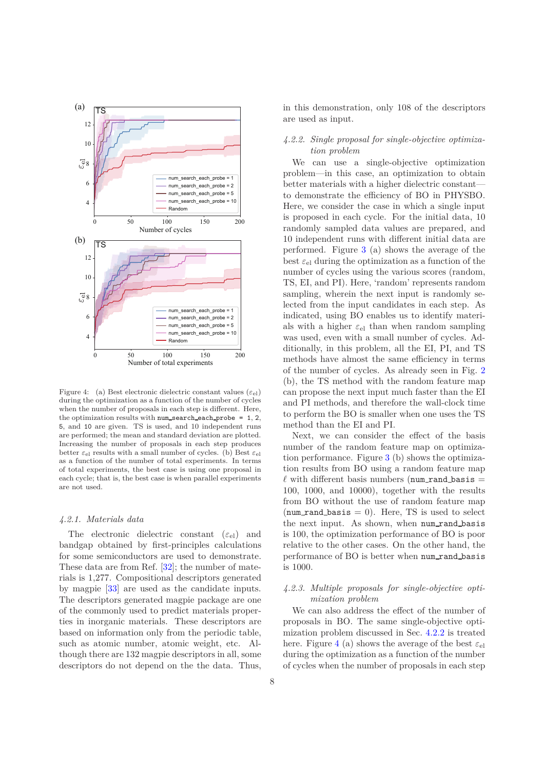

<span id="page-7-2"></span>Figure 4: (a) Best electronic dielectric constant values  $(\varepsilon_{el})$ during the optimization as a function of the number of cycles when the number of proposals in each step is different. Here, the optimization results with  $num\_search\_each\_probe = 1, 2$ , 5, and 10 are given. TS is used, and 10 independent runs are performed; the mean and standard deviation are plotted. Increasing the number of proposals in each step produces better  $\varepsilon_{el}$  results with a small number of cycles. (b) Best  $\varepsilon_{el}$ as a function of the number of total experiments. In terms of total experiments, the best case is using one proposal in each cycle; that is, the best case is when parallel experiments are not used.

#### *4.2.1. Materials data*

The electronic dielectric constant  $(\varepsilon_{el})$  and bandgap obtained by first-principles calculations for some semiconductors are used to demonstrate. These data are from Ref. [\[32](#page-10-24)]; the number of materials is 1,277. Compositional descriptors generated by magpie [\[33\]](#page-11-0) are used as the candidate inputs. The descriptors generated magpie package are one of the commonly used to predict materials properties in inorganic materials. These descriptors are based on information only from the periodic table, such as atomic number, atomic weight, etc. Although there are 132 magpie descriptors in all, some descriptors do not depend on the the data. Thus, in this demonstration, only 108 of the descriptors are used as input.

## <span id="page-7-1"></span>*4.2.2. Single proposal for single-objective optimization problem*

We can use a single-objective optimization problem—in this case, an optimization to obtain better materials with a higher dielectric constant to demonstrate the efficiency of BO in PHYSBO. Here, we consider the case in which a single input is proposed in each cycle. For the initial data, 10 randomly sampled data values are prepared, and 10 independent runs with different initial data are performed. Figure [3](#page-6-1) (a) shows the average of the best  $\varepsilon_{el}$  during the optimization as a function of the number of cycles using the various scores (random, TS, EI, and PI). Here, 'random' represents random sampling, wherein the next input is randomly selected from the input candidates in each step. As indicated, using BO enables us to identify materials with a higher  $\varepsilon_{el}$  than when random sampling was used, even with a small number of cycles. Additionally, in this problem, all the EI, PI, and TS methods have almost the same efficiency in terms of the number of cycles. As already seen in Fig. [2](#page-5-1) (b), the TS method with the random feature map can propose the next input much faster than the EI and PI methods, and therefore the wall-clock time to perform the BO is smaller when one uses the TS method than the EI and PI.

Next, we can consider the effect of the basis number of the random feature map on optimization performance. Figure [3](#page-6-1) (b) shows the optimization results from BO using a random feature map  $\ell$  with different basis numbers (num rand basis  $=$ 100, 1000, and 10000), together with the results from BO without the use of random feature map (num rand basis  $= 0$ ). Here, TS is used to select the next input. As shown, when num rand basis is 100, the optimization performance of BO is poor relative to the other cases. On the other hand, the performance of BO is better when num rand basis is 1000.

## <span id="page-7-0"></span>*4.2.3. Multiple proposals for single-objective optimization problem*

We can also address the effect of the number of proposals in BO. The same single-objective optimization problem discussed in Sec. [4.2.2](#page-7-1) is treated here. Figure [4](#page-7-2) (a) shows the average of the best  $\varepsilon_{el}$ during the optimization as a function of the number of cycles when the number of proposals in each step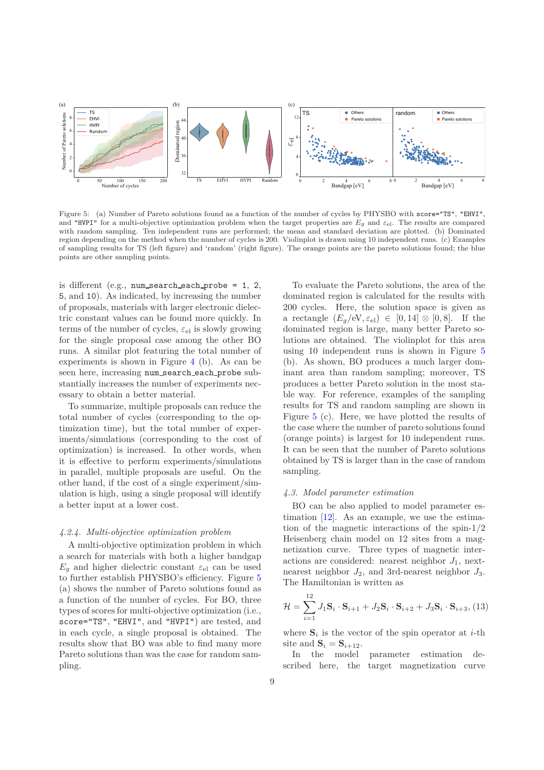

<span id="page-8-0"></span>Figure 5: (a) Number of Pareto solutions found as a function of the number of cycles by PHYSBO with score="TS", "EHVI", and "HVPI" for a multi-objective optimization problem when the target properties are  $E_q$  and  $\varepsilon_{el}$ . The results are compared with random sampling. Ten independent runs are performed; the mean and standard deviation are plotted. (b) Dominated region depending on the method when the number of cycles is 200. Violinplot is drawn using 10 independent runs. (c) Examples of sampling results for TS (left figure) and 'random' (right figure). The orange points are the pareto solutions found; the blue points are other sampling points.

is different (e.g., num search each probe  $= 1, 2,$ 5, and 10). As indicated, by increasing the number of proposals, materials with larger electronic dielectric constant values can be found more quickly. In terms of the number of cycles, *ε*el is slowly growing for the single proposal case among the other BO runs. A similar plot featuring the total number of experiments is shown in Figure [4](#page-7-2) (b). As can be seen here, increasing num search each probe substantially increases the number of experiments necessary to obtain a better material.

To summarize, multiple proposals can reduce the total number of cycles (corresponding to the optimization time), but the total number of experiments/simulations (corresponding to the cost of optimization) is increased. In other words, when it is effective to perform experiments/simulations in parallel, multiple proposals are useful. On the other hand, if the cost of a single experiment/simulation is high, using a single proposal will identify a better input at a lower cost.

#### *4.2.4. Multi-objective optimization problem*

A multi-objective optimization problem in which a search for materials with both a higher bandgap  $E_q$  and higher dielectric constant  $\varepsilon_{el}$  can be used to further establish PHYSBO's efficiency. Figure [5](#page-8-0) (a) shows the number of Pareto solutions found as a function of the number of cycles. For BO, three types of scores for multi-objective optimization (i.e., score="TS", "EHVI", and "HVPI") are tested, and in each cycle, a single proposal is obtained. The results show that BO was able to find many more Pareto solutions than was the case for random sampling.

To evaluate the Pareto solutions, the area of the dominated region is calculated for the results with 200 cycles. Here, the solution space is given as a rectangle  $(E_q/\text{eV}, \varepsilon_{\text{el}}) \in [0, 14] \otimes [0, 8]$ . If the dominated region is large, many better Pareto solutions are obtained. The violinplot for this area using 10 independent runs is shown in Figure [5](#page-8-0) (b). As shown, BO produces a much larger dominant area than random sampling; moreover, TS produces a better Pareto solution in the most stable way. For reference, examples of the sampling results for TS and random sampling are shown in Figure [5](#page-8-0) (c). Here, we have plotted the results of the case where the number of pareto solutions found (orange points) is largest for 10 independent runs. It can be seen that the number of Pareto solutions obtained by TS is larger than in the case of random sampling.

#### *4.3. Model parameter estimation*

BO can be also applied to model parameter estimation [\[12](#page-10-7)]. As an example, we use the estimation of the magnetic interactions of the spin-1*/*2 Heisenberg chain model on 12 sites from a magnetization curve. Three types of magnetic interactions are considered: nearest neighbor  $J_1$ , nextnearest neighbor *J*2, and 3rd-nearest neighbor *J*3. The Hamiltonian is written as

$$
\mathcal{H} = \sum_{i=1}^{12} J_1 \mathbf{S}_i \cdot \mathbf{S}_{i+1} + J_2 \mathbf{S}_i \cdot \mathbf{S}_{i+2} + J_3 \mathbf{S}_i \cdot \mathbf{S}_{i+3}, (13)
$$

where  $S_i$  is the vector of the spin operator at *i*-th site and  $S_i = S_{i+12}$ .

In the model parameter estimation described here, the target magnetization curve

 $\overline{10}$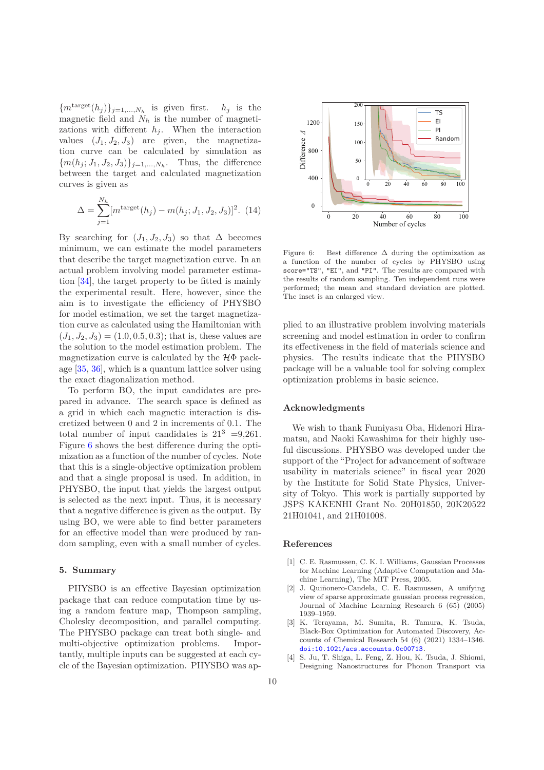${m<sup>target</sup>(h<sub>j</sub>)}_{j=1,...,N<sub>h</sub>}$  is given first. *h<sub>j</sub>* is the magnetic field and *N<sup>h</sup>* is the number of magnetizations with different  $h_j$ . When the interaction values  $(J_1, J_2, J_3)$  are given, the magnetization curve can be calculated by simulation as  ${m(h_j; J_1, J_2, J_3)}_{j=1,...,N_h}$ . Thus, the difference between the target and calculated magnetization curves is given as

$$
\Delta = \sum_{j=1}^{N_h} [m^{\text{target}}(h_j) - m(h_j; J_1, J_2, J_3)]^2.
$$
 (14)

By searching for  $(J_1, J_2, J_3)$  so that  $\Delta$  becomes minimum, we can estimate the model parameters that describe the target magnetization curve. In an actual problem involving model parameter estimation [\[34\]](#page-11-1), the target property to be fitted is mainly the experimental result. Here, however, since the aim is to investigate the efficiency of PHYSBO for model estimation, we set the target magnetization curve as calculated using the Hamiltonian with  $(J_1, J_2, J_3) = (1.0, 0.5, 0.3)$ ; that is, these values are the solution to the model estimation problem. The magnetization curve is calculated by the  $H\Phi$  package [\[35,](#page-11-2) [36\]](#page-11-3), which is a quantum lattice solver using the exact diagonalization method.

To perform BO, the input candidates are prepared in advance. The search space is defined as a grid in which each magnetic interaction is discretized between 0 and 2 in increments of 0.1. The total number of input candidates is  $21^3$  =9,261. Figure [6](#page-9-3) shows the best difference during the optimization as a function of the number of cycles. Note that this is a single-objective optimization problem and that a single proposal is used. In addition, in PHYSBO, the input that yields the largest output is selected as the next input. Thus, it is necessary that a negative difference is given as the output. By using BO, we were able to find better parameters for an effective model than were produced by random sampling, even with a small number of cycles.

## **5. Summary**

PHYSBO is an effective Bayesian optimization package that can reduce computation time by using a random feature map, Thompson sampling, Cholesky decomposition, and parallel computing. The PHYSBO package can treat both single- and multi-objective optimization problems. Importantly, multiple inputs can be suggested at each cycle of the Bayesian optimization. PHYSBO was ap-



<span id="page-9-3"></span>Figure 6: Best difference  $\Delta$  during the optimization as a function of the number of cycles by PHYSBO using score="TS", "EI", and "PI". The results are compared with the results of random sampling. Ten independent runs were performed; the mean and standard deviation are plotted. The inset is an enlarged view.

plied to an illustrative problem involving materials screening and model estimation in order to confirm its effectiveness in the field of materials science and physics. The results indicate that the PHYSBO package will be a valuable tool for solving complex optimization problems in basic science.

## **Acknowledgments**

We wish to thank Fumiyasu Oba, Hidenori Hiramatsu, and Naoki Kawashima for their highly useful discussions. PHYSBO was developed under the support of the "Project for advancement of software usability in materials science" in fiscal year 2020 by the Institute for Solid State Physics, University of Tokyo. This work is partially supported by JSPS KAKENHI Grant No. 20H01850, 20K20522 21H01041, and 21H01008.

## **References**

- <span id="page-9-0"></span>[1] C. E. Rasmussen, C. K. I. Williams, Gaussian Processes for Machine Learning (Adaptive Computation and Machine Learning), The MIT Press, 2005.
- [2] J. Quiñonero-Candela, C. E. Rasmussen, A unifying view of sparse approximate gaussian process regression, Journal of Machine Learning Research 6 (65) (2005) 1939–1959.
- <span id="page-9-1"></span>[3] K. Terayama, M. Sumita, R. Tamura, K. Tsuda, Black-Box Optimization for Automated Discovery, Accounts of Chemical Research 54 (6) (2021) 1334–1346. [doi:10.1021/acs.accounts.0c00713](https://doi.org/10.1021/acs.accounts.0c00713).
- <span id="page-9-2"></span>[4] S. Ju, T. Shiga, L. Feng, Z. Hou, K. Tsuda, J. Shiomi, Designing Nanostructures for Phonon Transport via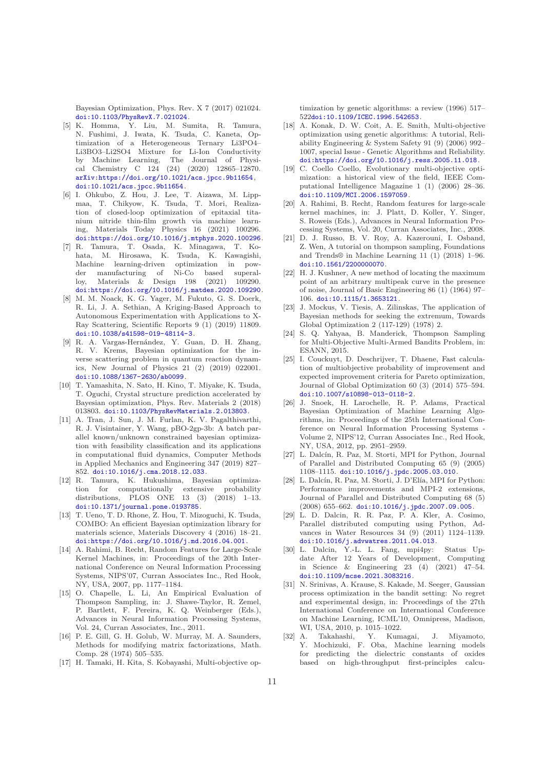Bayesian Optimization, Phys. Rev. X 7 (2017) 021024. [doi:10.1103/PhysRevX.7.021024](https://doi.org/10.1103/PhysRevX.7.021024).

- <span id="page-10-0"></span>[5] K. Homma, Y. Liu, M. Sumita, R. Tamura, N. Fushimi, J. Iwata, K. Tsuda, C. Kaneta, Optimization of a Heterogeneous Ternary Li3PO4– Li3BO3–Li2SO4 Mixture for Li-Ion Conductivity by Machine Learning, The Journal of Physical Chemistry C 124 (24) (2020) 12865–12870. [arXiv:https://doi.org/10.1021/acs.jpcc.9b11654](http://arxiv.org/abs/https://doi.org/10.1021/acs.jpcc.9b11654), [doi:10.1021/acs.jpcc.9b11654](https://doi.org/10.1021/acs.jpcc.9b11654).
- <span id="page-10-1"></span>[6] I. Ohkubo, Z. Hou, J. Lee, T. Aizawa, M. Lippmaa, T. Chikyow, K. Tsuda, T. Mori, Realization of closed-loop optimization of epitaxial titanium nitride thin-film growth via machine learning, Materials Today Physics 16 (2021) 100296. [doi:https://doi.org/10.1016/j.mtphys.2020.100296](https://doi.org/https://doi.org/10.1016/j.mtphys.2020.100296).
- <span id="page-10-2"></span>[7] R. Tamura, T. Osada, K. Minagawa, T. Kohata, M. Hirosawa, K. Tsuda, K. Kawagishi, Machine learning-driven optimization in pow $der$  manufacturing of Ni-Co based loy, Materials & Design 198 (2021) 109290. [doi:https://doi.org/10.1016/j.matdes.2020.109290](https://doi.org/https://doi.org/10.1016/j.matdes.2020.109290).
- <span id="page-10-3"></span>[8] M. M. Noack, K. G. Yager, M. Fukuto, G. S. Doerk, R. Li, J. A. Sethian, A Kriging-Based Approach to Autonomous Experimentation with Applications to X-Ray Scattering, Scientific Reports 9 (1) (2019) 11809. [doi:10.1038/s41598-019-48114-3](https://doi.org/10.1038/s41598-019-48114-3).
- <span id="page-10-4"></span>[9] R. A. Vargas-Hernández, Y. Guan, D. H. Zhang, R. V. Krems, Bayesian optimization for the inverse scattering problem in quantum reaction dynamics, New Journal of Physics 21 (2) (2019) 022001. [doi:10.1088/1367-2630/ab0099](https://doi.org/10.1088/1367-2630/ab0099).
- <span id="page-10-5"></span>[10] T. Yamashita, N. Sato, H. Kino, T. Miyake, K. Tsuda, T. Oguchi, Crystal structure prediction accelerated by Bayesian optimization, Phys. Rev. Materials 2 (2018) 013803. [doi:10.1103/PhysRevMaterials.2.013803](https://doi.org/10.1103/PhysRevMaterials.2.013803).
- <span id="page-10-6"></span>[11] A. Tran, J. Sun, J. M. Furlan, K. V. Pagalthivarthi, R. J. Visintainer, Y. Wang, pBO-2gp-3b: A batch parallel known/unknown constrained bayesian optimization with feasibility classification and its applications in computational fluid dynamics, Computer Methods in Applied Mechanics and Engineering 347 (2019) 827– 852. [doi:10.1016/j.cma.2018.12.033](https://doi.org/10.1016/j.cma.2018.12.033).
- <span id="page-10-7"></span>[12] R. Tamura, K. Hukushima, Bayesian optimization for computationally extensive probability distributions, PLOS ONE 13 (3) (2018) 1–13. [doi:10.1371/journal.pone.0193785](https://doi.org/10.1371/journal.pone.0193785).
- <span id="page-10-8"></span>[13] T. Ueno, T. D. Rhone, Z. Hou, T. Mizoguchi, K. Tsuda, COMBO: An efficient Bayesian optimization library for materials science, Materials Discovery 4 (2016) 18–21. [doi:https://doi.org/10.1016/j.md.2016.04.001](https://doi.org/https://doi.org/10.1016/j.md.2016.04.001).
- <span id="page-10-9"></span>[14] A. Rahimi, B. Recht, Random Features for Large-Scale Kernel Machines, in: Proceedings of the 20th International Conference on Neural Information Processing Systems, NIPS'07, Curran Associates Inc., Red Hook, NY, USA, 2007, pp. 1177–1184.
- <span id="page-10-10"></span>[15] O. Chapelle, L. Li, An Empirical Evaluation of Thompson Sampling, in: J. Shawe-Taylor, R. Zemel, P. Bartlett, F. Pereira, K. Q. Weinberger (Eds.), Advances in Neural Information Processing Systems, Vol. 24, Curran Associates, Inc., 2011.
- <span id="page-10-11"></span>[16] P. E. Gill, G. H. Golub, W. Murray, M. A. Saunders, Methods for modifying matrix factorizations, Math. Comp. 28 (1974) 505–535.
- <span id="page-10-12"></span>[17] H. Tamaki, H. Kita, S. Kobayashi, Multi-objective op-

timization by genetic algorithms: a review (1996) 517– 522[doi:10.1109/ICEC.1996.542653](https://doi.org/10.1109/ICEC.1996.542653).

- [18] A. Konak, D. W. Coit, A. E. Smith, Multi-objective optimization using genetic algorithms: A tutorial, Reliability Engineering & System Safety 91 (9) (2006) 992– 1007, special Issue - Genetic Algorithms and Reliability. [doi:https://doi.org/10.1016/j.ress.2005.11.018](https://doi.org/https://doi.org/10.1016/j.ress.2005.11.018).
- <span id="page-10-13"></span>[19] C. Coello Coello, Evolutionary multi-objective optimization: a historical view of the field, IEEE Computational Intelligence Magazine 1 (1) (2006) 28–36. [doi:10.1109/MCI.2006.1597059](https://doi.org/10.1109/MCI.2006.1597059).
- <span id="page-10-14"></span>[20] A. Rahimi, B. Recht, Random features for large-scale kernel machines, in: J. Platt, D. Koller, Y. Singer, S. Roweis (Eds.), Advances in Neural Information Processing Systems, Vol. 20, Curran Associates, Inc., 2008.
- <span id="page-10-15"></span>[21] D. J. Russo, B. V. Roy, A. Kazerouni, I. Osband, Z. Wen, A tutorial on thompson sampling, Foundations and Trends® in Machine Learning 11 (1) (2018) 1–96. [doi:10.1561/2200000070](https://doi.org/10.1561/2200000070).
- <span id="page-10-16"></span>[22] H. J. Kushner, A new method of locating the maximum point of an arbitrary multipeak curve in the presence of noise, Journal of Basic Engineering 86 (1) (1964) 97– 106. [doi:10.1115/1.3653121](https://doi.org/10.1115/1.3653121).
- <span id="page-10-17"></span>[23] J. Mockus, V. Tiesis, A. Zilinskas, The application of Bayesian methods for seeking the extremum, Towards Global Optimization 2 (117-129) (1978) 2.
- <span id="page-10-18"></span>[24] S. Q. Yahyaa, B. Manderick, Thompson Sampling for Multi-Objective Multi-Armed Bandits Problem, in: ESANN, 2015.
- <span id="page-10-19"></span>[25] I. Couckuyt, D. Deschrijver, T. Dhaene, Fast calculation of multiobjective probability of improvement and expected improvement criteria for Pareto optimization, Journal of Global Optimization 60 (3) (2014) 575–594. [doi:10.1007/s10898-013-0118-2](https://doi.org/10.1007/s10898-013-0118-2).
- <span id="page-10-20"></span>[26] J. Snoek, H. Larochelle, R. P. Adams, Practical Bayesian Optimization of Machine Learning Algorithms, in: Proceedings of the 25th International Conference on Neural Information Processing Systems - Volume 2, NIPS'12, Curran Associates Inc., Red Hook, NY, USA, 2012, pp. 2951–2959.
- <span id="page-10-21"></span>[27] L. Dalcín, R. Paz, M. Storti, MPI for Python, Journal of Parallel and Distributed Computing 65 (9) (2005) 1108–1115. [doi:10.1016/j.jpdc.2005.03.010](https://doi.org/10.1016/j.jpdc.2005.03.010).
- [28] L. Dalcín, R. Paz, M. Storti, J. D'Elía, MPI for Python: Performance improvements and MPI-2 extensions, Journal of Parallel and Distributed Computing 68 (5) (2008) 655–662. [doi:10.1016/j.jpdc.2007.09.005](https://doi.org/10.1016/j.jpdc.2007.09.005).
- [29] L. D. Dalcin, R. R. Paz, P. A. Kler, A. Cosimo, Parallel distributed computing using Python, Advances in Water Resources 34 (9) (2011) 1124–1139. [doi:10.1016/j.advwatres.2011.04.013](https://doi.org/10.1016/j.advwatres.2011.04.013).
- <span id="page-10-22"></span>[30] L. Dalcin, Y.-L. L. Fang, mpi4py: Status Update After 12 Years of Development, Computing in Science & Engineering 23 (4) (2021) 47–54. [doi:10.1109/mcse.2021.3083216](https://doi.org/10.1109/mcse.2021.3083216).
- <span id="page-10-23"></span>[31] N. Srinivas, A. Krause, S. Kakade, M. Seeger, Gaussian process optimization in the bandit setting: No regret and experimental design, in: Proceedings of the 27th International Conference on International Conference on Machine Learning, ICML'10, Omnipress, Madison, WI, USA, 2010, p. 1015–1022.
- <span id="page-10-24"></span>[32] A. Takahashi, Y. Kumagai, J. Miyamoto, Y. Mochizuki, F. Oba, Machine learning models for predicting the dielectric constants of oxides based on high-throughput first-principles calcu-